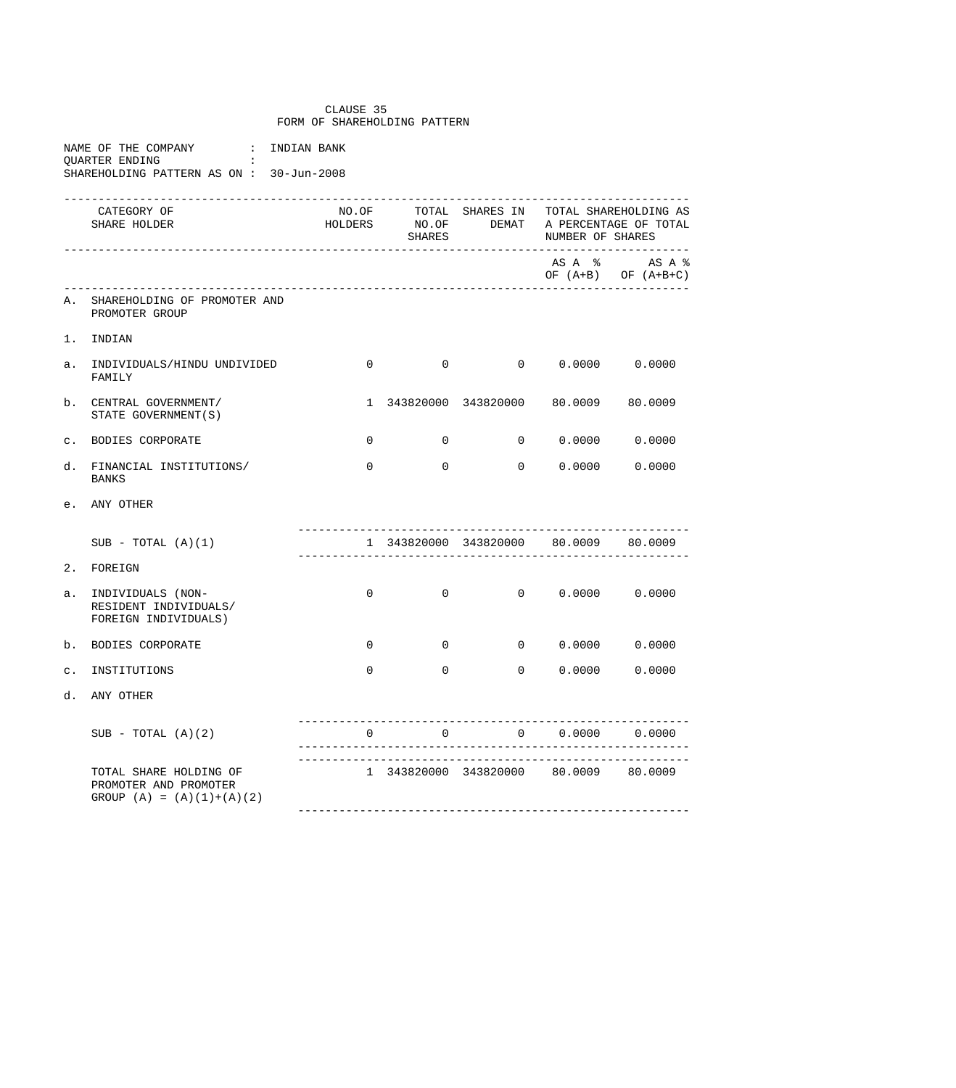## CLAUSE 35 FORM OF SHAREHOLDING PATTERN

|                | NAME OF THE COMPANY |  | : INDIAN BANK                           |  |
|----------------|---------------------|--|-----------------------------------------|--|
| OUARTER ENDING |                     |  |                                         |  |
|                |                     |  | SHAREHOLDING PATTERN AS ON: 30-Jun-2008 |  |

|                | ------------------------------<br>CATEGORY OF<br>SHARE HOLDER                  |              | <b>SHARES</b>  |                                                               | NO.OF TOTAL SHARES IN TOTAL SHAREHOLDING AS<br>HOLDERS NO.OF DEMAT A PERCENTAGE OF TOTAL<br>NUMBER OF SHARES<br>_________________________________ |                                        |  |
|----------------|--------------------------------------------------------------------------------|--------------|----------------|---------------------------------------------------------------|---------------------------------------------------------------------------------------------------------------------------------------------------|----------------------------------------|--|
|                |                                                                                |              |                |                                                               |                                                                                                                                                   | ASA % ASA %<br>OF $(A+B)$ OF $(A+B+C)$ |  |
| Α.             | SHAREHOLDING OF PROMOTER AND<br>PROMOTER GROUP                                 |              |                |                                                               |                                                                                                                                                   |                                        |  |
|                | 1. INDIAN                                                                      |              |                |                                                               |                                                                                                                                                   |                                        |  |
| a.             | INDIVIDUALS/HINDU UNDIVIDED<br>FAMILY                                          | 0            |                | $0 \qquad \qquad 0 \qquad \qquad 0.0000 \qquad \qquad 0.0000$ |                                                                                                                                                   |                                        |  |
| b.             | CENTRAL GOVERNMENT/<br>STATE GOVERNMENT (S)                                    |              |                | 1 343820000 343820000 80.0009 80.0009                         |                                                                                                                                                   |                                        |  |
| $\mathsf{C}$ . | BODIES CORPORATE                                                               | $\mathbf 0$  | $\mathbf 0$    |                                                               | $0 \t 0.0000 \t 0.0000$                                                                                                                           |                                        |  |
| d.             | FINANCIAL INSTITUTIONS/<br><b>BANKS</b>                                        | $\Omega$     | $\Omega$       |                                                               | 0 0.0000                                                                                                                                          | 0.0000                                 |  |
|                | e. ANY OTHER                                                                   |              |                |                                                               |                                                                                                                                                   |                                        |  |
|                | $SUB - TOTAL (A)(1)$                                                           |              |                | 1 343820000 343820000 80.0009 80.0009                         |                                                                                                                                                   |                                        |  |
| 2.             | FOREIGN                                                                        |              |                |                                                               |                                                                                                                                                   |                                        |  |
| $a$ .          | INDIVIDUALS (NON-<br>RESIDENT INDIVIDUALS/<br>FOREIGN INDIVIDUALS)             | $\mathbf{0}$ | $\overline{0}$ |                                                               | $0 \t 0.0000 \t 0.0000$                                                                                                                           |                                        |  |
| b.             | BODIES CORPORATE                                                               | 0            | $\mathbf 0$    |                                                               | $0 \t 0.0000 \t 0.0000$                                                                                                                           |                                        |  |
| $\mathsf{C}$ . | INSTITUTIONS                                                                   | $\Omega$     | $\Omega$       |                                                               | 0 0.0000                                                                                                                                          | 0.0000                                 |  |
| d.             | ANY OTHER                                                                      |              |                |                                                               |                                                                                                                                                   |                                        |  |
|                | $SUB - TOTAL (A)(2)$                                                           |              | $\overline{0}$ |                                                               | 0 0.0000 0.0000                                                                                                                                   |                                        |  |
|                | TOTAL SHARE HOLDING OF<br>PROMOTER AND PROMOTER<br>GROUP $(A) = (A)(1)+(A)(2)$ |              |                | 1 343820000 343820000 80.0009 80.0009                         |                                                                                                                                                   |                                        |  |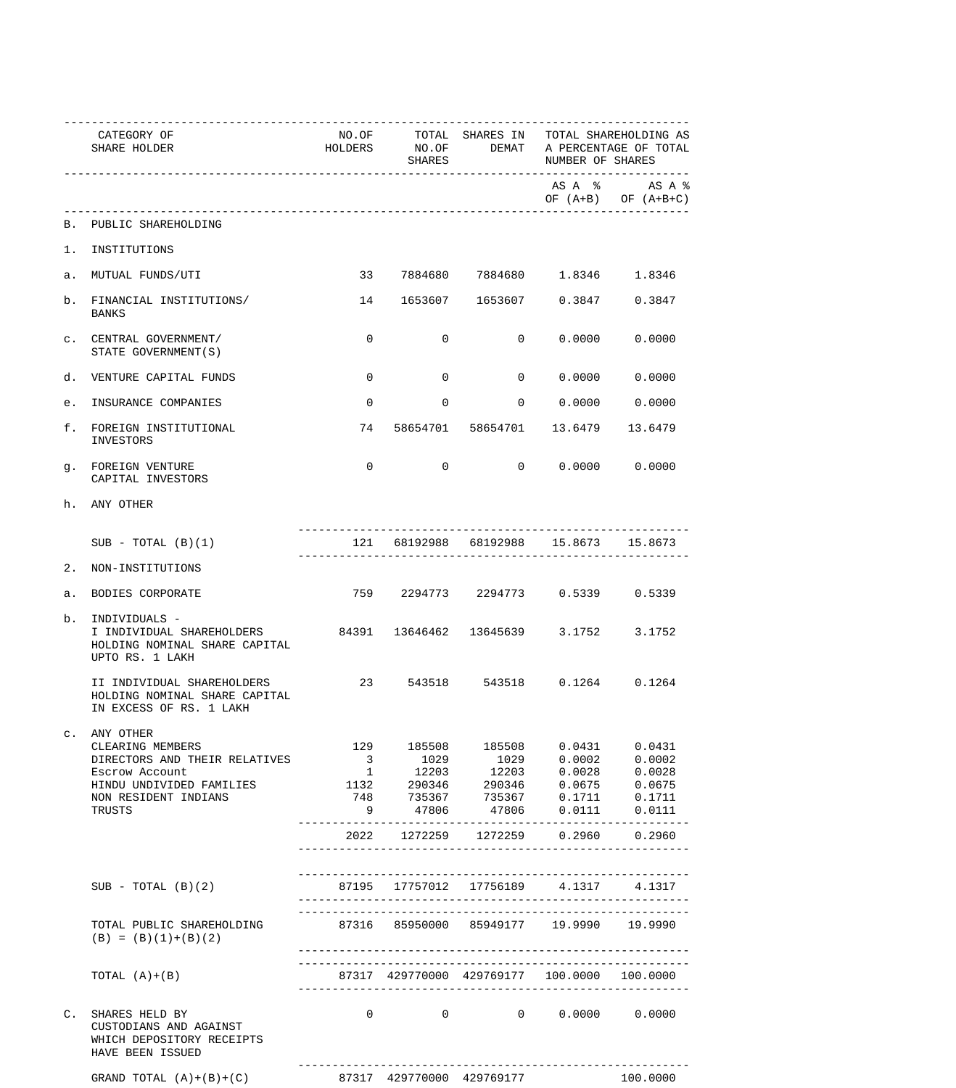|    | CATEGORY OF<br>SHARE HOLDER                                                                                                          |                         | SHARES            |                                                                                                                       | NO.OF TOTAL SHARES IN TOTAL SHAREHOLDING AS<br>HOLDERS NO.OF DEMAT A PERCENTAGE OF TOTAL<br>NUMBER OF SHARES |                                        |  |
|----|--------------------------------------------------------------------------------------------------------------------------------------|-------------------------|-------------------|-----------------------------------------------------------------------------------------------------------------------|--------------------------------------------------------------------------------------------------------------|----------------------------------------|--|
|    |                                                                                                                                      |                         |                   |                                                                                                                       |                                                                                                              | ASA % ASA %<br>OF $(A+B)$ OF $(A+B+C)$ |  |
|    | B. PUBLIC SHAREHOLDING                                                                                                               |                         |                   |                                                                                                                       |                                                                                                              |                                        |  |
|    | 1. INSTITUTIONS                                                                                                                      |                         |                   |                                                                                                                       |                                                                                                              |                                        |  |
|    | a. MUTUAL FUNDS/UTI                                                                                                                  |                         |                   | 33 7884680 7884680 1.8346 1.8346                                                                                      |                                                                                                              |                                        |  |
|    | b. FINANCIAL INSTITUTIONS/<br>BANKS                                                                                                  | 14                      |                   | 1653607 1653607 0.3847 0.3847                                                                                         |                                                                                                              |                                        |  |
|    | C. CENTRAL GOVERNMENT/<br>STATE GOVERNMENT (S)                                                                                       | $\mathbf 0$             | 0                 |                                                                                                                       | $0\qquad 0.0000\qquad 0.0000$                                                                                |                                        |  |
|    | d. VENTURE CAPITAL FUNDS                                                                                                             | $\overline{0}$          | 0                 |                                                                                                                       | $0\qquad 0.0000\qquad 0.0000$                                                                                |                                        |  |
|    | e. INSURANCE COMPANIES                                                                                                               | $\mathbf{0}$            | $\overline{0}$    |                                                                                                                       |                                                                                                              |                                        |  |
|    | f. FOREIGN INSTITUTIONAL<br>INVESTORS                                                                                                |                         |                   | 74 58654701 58654701 13.6479                                                                                          |                                                                                                              | 13.6479                                |  |
|    | g. FOREIGN VENTURE<br>CAPITAL INVESTORS                                                                                              | 0                       |                   | $\Omega$                                                                                                              | $0 \t 0.0000 \t 0.0000$                                                                                      |                                        |  |
|    | h. ANY OTHER                                                                                                                         |                         |                   |                                                                                                                       |                                                                                                              |                                        |  |
|    | $SUB - TOTAL (B)(1)$                                                                                                                 |                         |                   | 121 68192988 68192988 15.8673 15.8673                                                                                 |                                                                                                              |                                        |  |
|    | 2. NON-INSTITUTIONS                                                                                                                  |                         |                   |                                                                                                                       |                                                                                                              |                                        |  |
|    | a. BODIES CORPORATE                                                                                                                  |                         |                   | 759 2294773 2294773 0.5339 0.5339                                                                                     |                                                                                                              |                                        |  |
| b. | INDIVIDUALS -<br>I INDIVIDUAL SHAREHOLDERS 84391 13646462 13645639 3.1752 3.1752<br>HOLDING NOMINAL SHARE CAPITAL<br>UPTO RS. 1 LAKH |                         |                   |                                                                                                                       |                                                                                                              |                                        |  |
|    | II INDIVIDUAL SHAREHOLDERS<br>HOLDING NOMINAL SHARE CAPITAL<br>IN EXCESS OF RS. 1 LAKH                                               |                         |                   | 23 543518 543518 0.1264 0.1264                                                                                        |                                                                                                              |                                        |  |
|    | c. ANY OTHER<br>CLEARING MEMBERS                                                                                                     |                         |                   | 129 185508 185508 0.0431 0.0431                                                                                       |                                                                                                              |                                        |  |
|    | DIRECTORS AND THEIR RELATIVES                                                                                                        | $\overline{\mathbf{3}}$ |                   |                                                                                                                       |                                                                                                              |                                        |  |
|    | Escrow Account                                                                                                                       |                         |                   | $\begin{array}{cccccccc} 1 & 12203 & 12203 & 0.0028 & 0.0028 \\ 1132 & 290346 & 290346 & 0.0675 & 0.0675 \end{array}$ |                                                                                                              |                                        |  |
|    | HINDU UNDIVIDED FAMILIES                                                                                                             |                         |                   |                                                                                                                       |                                                                                                              |                                        |  |
|    | NON RESIDENT INDIANS                                                                                                                 | 9                       | 47806             | 748 735367 735367 0.1711 0.1711                                                                                       |                                                                                                              |                                        |  |
|    | TRUSTS                                                                                                                               |                         |                   |                                                                                                                       | 47806  0.0111  0.0111                                                                                        |                                        |  |
|    |                                                                                                                                      |                         |                   | 2022 1272259 1272259 0.2960 0.2960                                                                                    |                                                                                                              |                                        |  |
|    |                                                                                                                                      |                         |                   |                                                                                                                       |                                                                                                              |                                        |  |
|    | $SUB - TOTAL (B)(2)$                                                                                                                 |                         |                   | 87195 17757012 17756189 4.1317 4.1317                                                                                 |                                                                                                              |                                        |  |
|    | TOTAL PUBLIC SHAREHOLDING<br>$(B) = (B)(1)+(B)(2)$                                                                                   |                         |                   | 87316 85950000 85949177 19.9990 19.9990                                                                               |                                                                                                              |                                        |  |
|    | TOTAL $(A)+(B)$                                                                                                                      |                         |                   | 87317 429770000 429769177 100.0000                                                                                    |                                                                                                              | 100.0000                               |  |
|    | C. SHARES HELD BY<br>CUSTODIANS AND AGAINST<br>WHICH DEPOSITORY RECEIPTS<br>HAVE BEEN ISSUED                                         |                         | $0 \qquad \qquad$ | $0 \qquad \qquad 0 \qquad \qquad 0.0000 \qquad \qquad 0.0000$                                                         |                                                                                                              |                                        |  |
|    | GRAND TOTAL $(A)+(B)+(C)$                                                                                                            |                         |                   | 87317 429770000 429769177                                                                                             |                                                                                                              | 100.0000                               |  |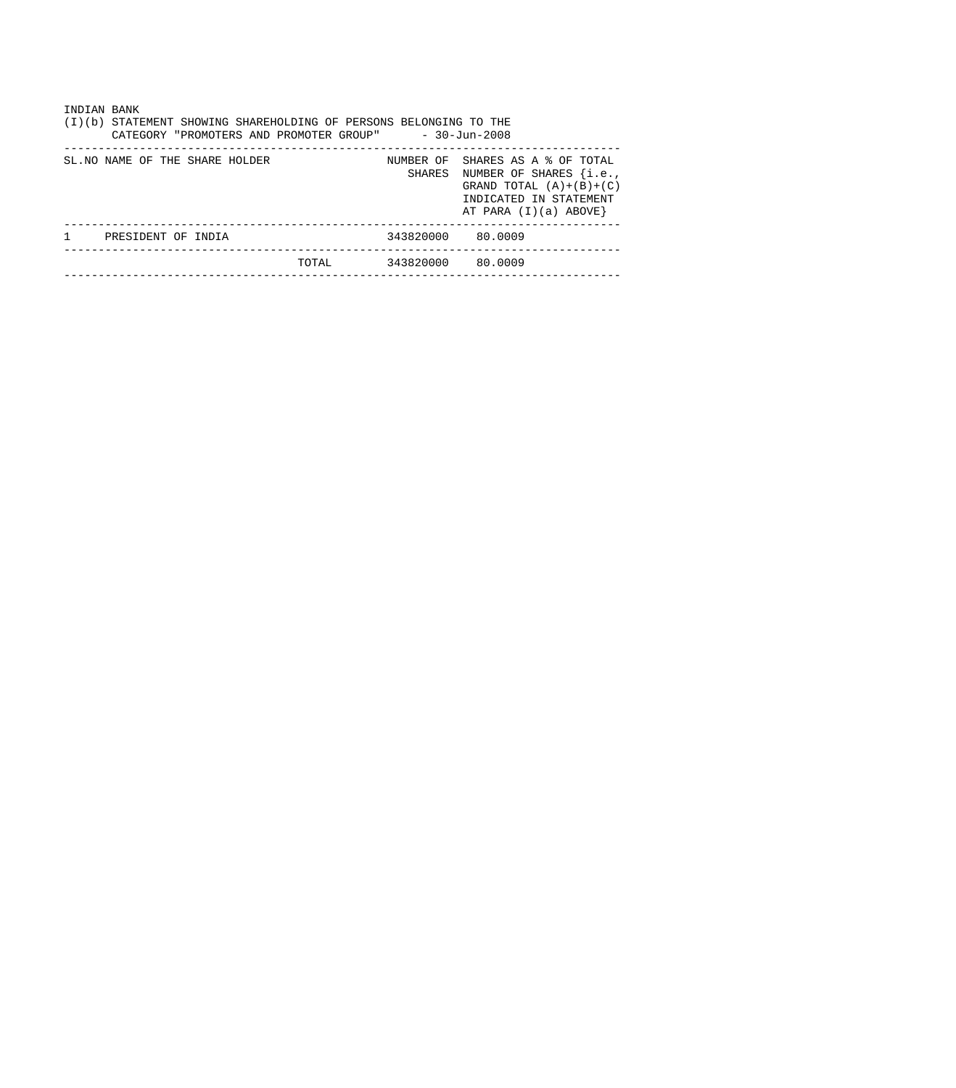| INDIAN BANK<br>(I)(b) STATEMENT SHOWING SHAREHOLDING OF PERSONS BELONGING TO THE<br>$-30 - Jun - 2008$<br>CATEGORY "PROMOTERS AND PROMOTER GROUP" |                                 |       |                   |                                                                                                                                                      |  |  |  |  |  |  |
|---------------------------------------------------------------------------------------------------------------------------------------------------|---------------------------------|-------|-------------------|------------------------------------------------------------------------------------------------------------------------------------------------------|--|--|--|--|--|--|
|                                                                                                                                                   | SL. NO NAME OF THE SHARE HOLDER |       |                   | NUMBER OF SHARES AS A % OF TOTAL<br>SHARES NUMBER OF SHARES {i.e.,<br>GRAND TOTAL $(A)+(B)+(C)$<br>INDICATED IN STATEMENT<br>AT PARA $(I)(a)$ ABOVE} |  |  |  |  |  |  |
|                                                                                                                                                   | PRESIDENT OF INDIA              |       | 343820000 80.0009 |                                                                                                                                                      |  |  |  |  |  |  |
|                                                                                                                                                   |                                 | TOTAL | 343820000 80.0009 |                                                                                                                                                      |  |  |  |  |  |  |
|                                                                                                                                                   |                                 |       |                   |                                                                                                                                                      |  |  |  |  |  |  |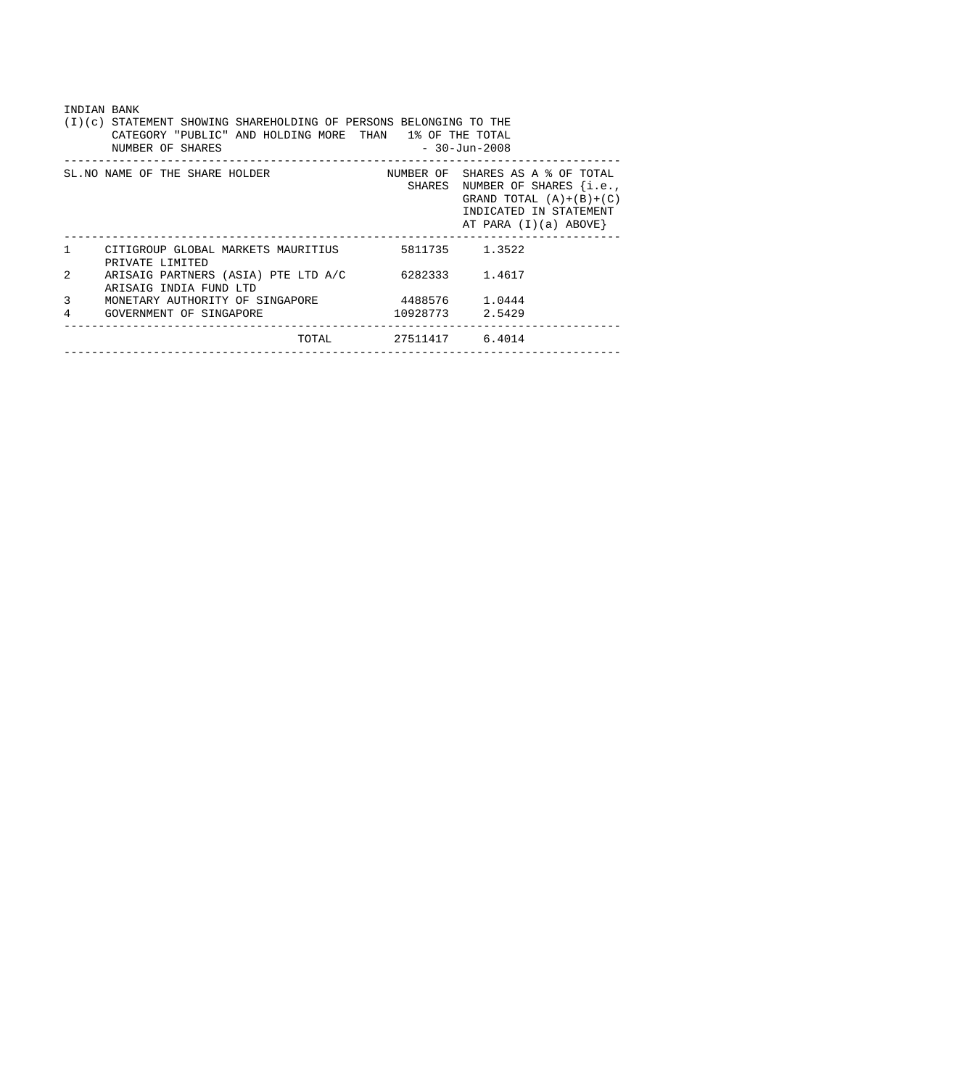| INDIAN BANK<br>(I)(c) STATEMENT SHOWING SHAREHOLDING OF PERSONS BELONGING TO THE<br>CATEGORY "PUBLIC" AND HOLDING MORE THAN 1% OF THE TOTAL<br>$-30 - Jun - 2008$<br>NUMBER OF SHARES |                                                                              |                |                                                                                                                                                    |  |  |  |  |  |  |
|---------------------------------------------------------------------------------------------------------------------------------------------------------------------------------------|------------------------------------------------------------------------------|----------------|----------------------------------------------------------------------------------------------------------------------------------------------------|--|--|--|--|--|--|
|                                                                                                                                                                                       | SL. NO NAME OF THE SHARE HOLDER                                              |                | NUMBER OF SHARES AS A % OF TOTAL<br>SHARES NUMBER OF SHARES {i.e.,<br>GRAND TOTAL $(A)+(B)+(C)$<br>INDICATED IN STATEMENT<br>AT PARA (I)(a) ABOVE} |  |  |  |  |  |  |
| $\mathbf{1}$                                                                                                                                                                          | CITIGROUP GLOBAL MARKETS MAURITIUS 5811735 1.3522<br>PRIVATE LIMITED         |                |                                                                                                                                                    |  |  |  |  |  |  |
| $\mathfrak{D}$                                                                                                                                                                        | ARISAIG PARTNERS (ASIA) PTE LTD A/C 6282333 1.4617<br>ARISAIG INDIA FUND LTD |                |                                                                                                                                                    |  |  |  |  |  |  |
| 3                                                                                                                                                                                     | MONETARY AUTHORITY OF SINGAPORE                                              | 4488576 1.0444 |                                                                                                                                                    |  |  |  |  |  |  |
| 4                                                                                                                                                                                     | GOVERNMENT OF SINGAPORE                                                      |                | 10928773 2.5429                                                                                                                                    |  |  |  |  |  |  |
|                                                                                                                                                                                       | TOTAL                                                                        |                | 27511417 6.4014                                                                                                                                    |  |  |  |  |  |  |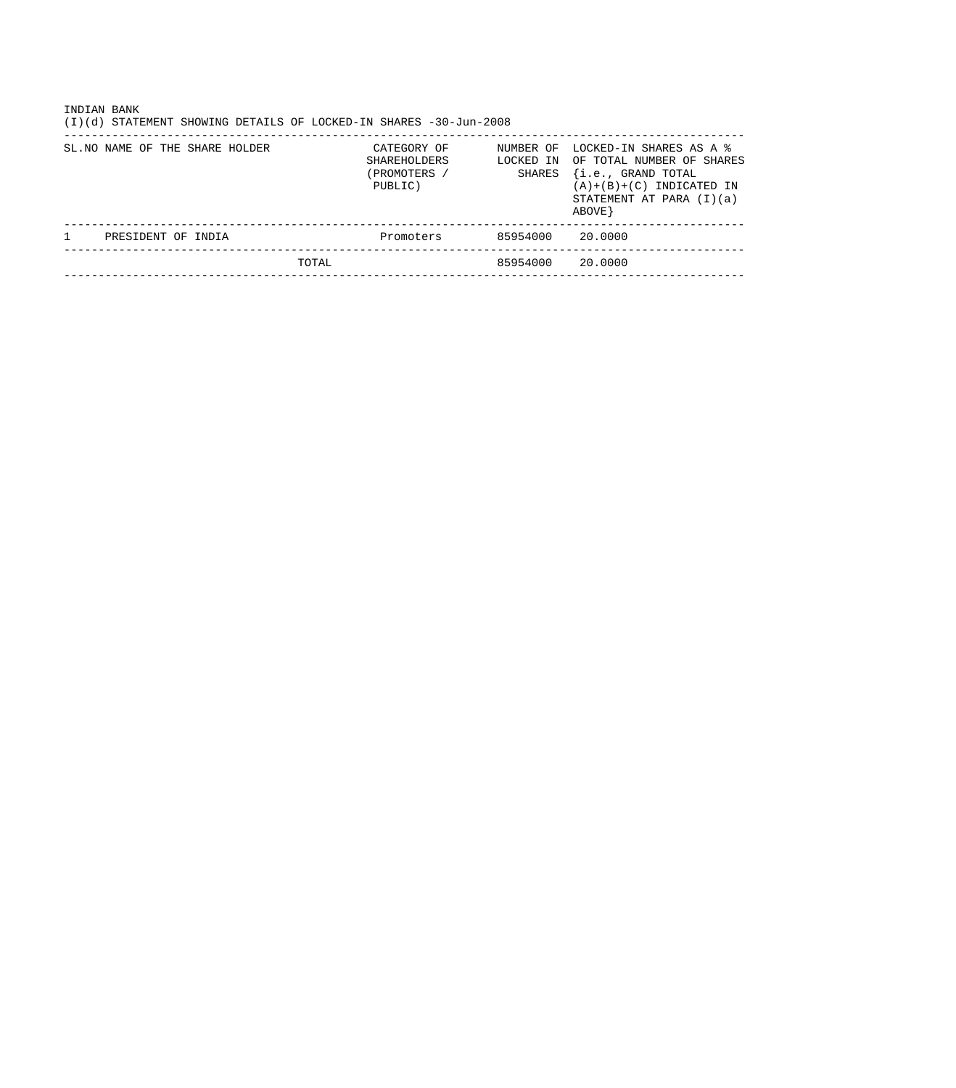| INDIAN BANK<br>STATEMENT SHOWING DETAILS OF LOCKED-IN SHARES -30-Jun-2008<br>(I)(d) |                                                        |                                  |                                                                                                                                                   |
|-------------------------------------------------------------------------------------|--------------------------------------------------------|----------------------------------|---------------------------------------------------------------------------------------------------------------------------------------------------|
| SL. NO NAME OF THE SHARE HOLDER                                                     | CATEGORY OF<br>SHAREHOLDERS<br>(PROMOTERS /<br>PUBLIC) | NUMBER OF<br>LOCKED IN<br>SHARES | LOCKED-IN SHARES AS A %<br>OF TOTAL NUMBER OF SHARES<br>{i.e., GRAND TOTAL<br>$(A)+(B)+(C)$ INDICATED IN<br>STATEMENT AT PARA $(I)(a)$<br>ABOVE } |
| PRESIDENT OF INDIA                                                                  | Promoters                                              | 85954000                         | 20.0000                                                                                                                                           |
| TOTAL                                                                               |                                                        | 85954000                         | 20.0000                                                                                                                                           |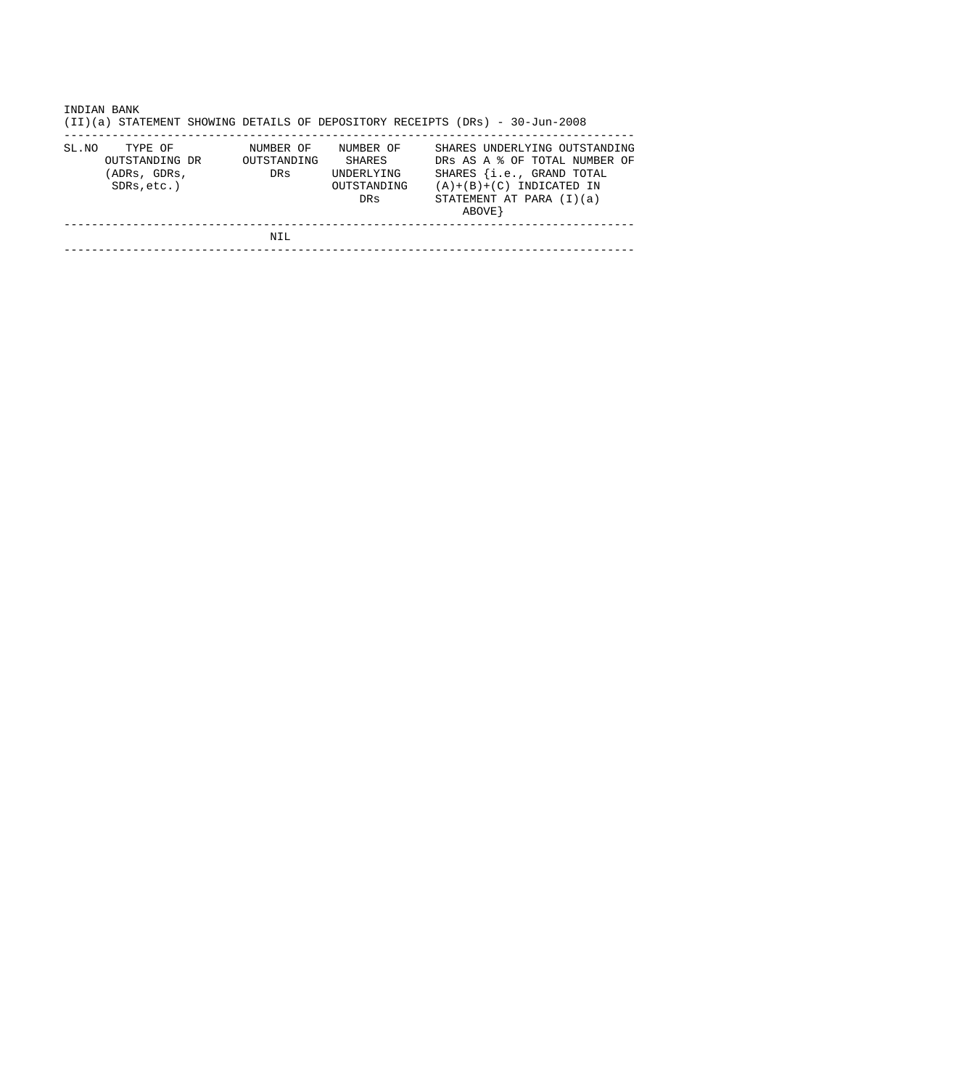|       | INDIAN BANK<br>(II)(a) STATEMENT SHOWING DETAILS OF DEPOSITORY RECEIPTS (DRs) - 30-Jun-2008 |                                 |                                                         |  |         |                                                                                     |                                                                |
|-------|---------------------------------------------------------------------------------------------|---------------------------------|---------------------------------------------------------|--|---------|-------------------------------------------------------------------------------------|----------------------------------------------------------------|
| SL.NO | TYPE OF<br>OUTSTANDING DR<br>(ADRs, GDRs,<br>$SDRs, etc.$ )                                 | NUMBER OF<br>OUTSTANDING<br>DRs | NUMBER OF<br>SHARES<br>UNDERLYING<br>OUTSTANDING<br>DRs |  | ABOVE } | SHARES {i.e., GRAND TOTAL<br>$(A)+(B)+(C)$ INDICATED IN<br>STATEMENT AT PARA (I)(a) | SHARES UNDERLYING OUTSTANDING<br>DRS AS A & OF TOTAL NUMBER OF |
|       |                                                                                             | NIL                             |                                                         |  |         |                                                                                     |                                                                |